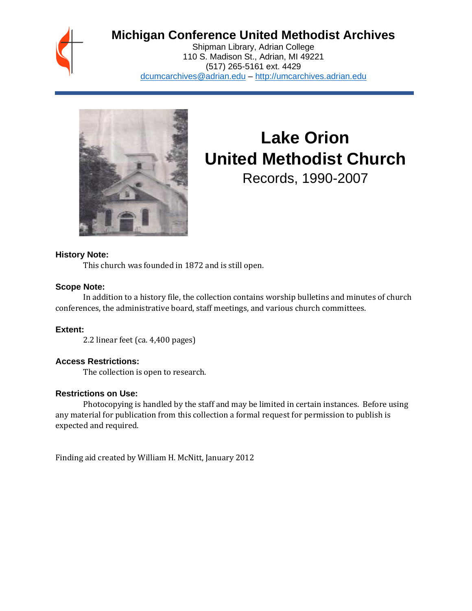

# **Michigan Conference United Methodist Archives**

Shipman Library, Adrian College 110 S. Madison St., Adrian, MI 49221 (517) 265-5161 ext. 4429 [dcumcarchives@adrian.edu](mailto:dcumcarchives@adrian.edu) – [http://umcarchives.adrian.edu](http://umcarchives.adrian.edu/)



# **Lake Orion United Methodist Church**

Records, 1990-2007

# **History Note:**

This church was founded in 1872 and is still open.

#### **Scope Note:**

In addition to a history file, the collection contains worship bulletins and minutes of church conferences, the administrative board, staff meetings, and various church committees.

### **Extent:**

2.2 linear feet (ca. 4,400 pages)

### **Access Restrictions:**

The collection is open to research.

### **Restrictions on Use:**

Photocopying is handled by the staff and may be limited in certain instances. Before using any material for publication from this collection a formal request for permission to publish is expected and required.

Finding aid created by William H. McNitt, January 2012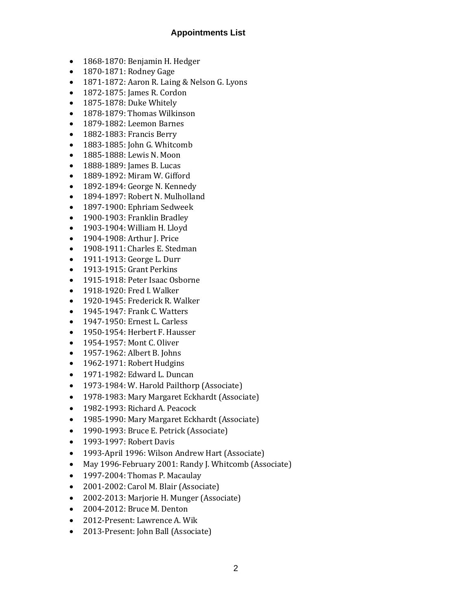# **Appointments List**

- 1868-1870: Benjamin H. Hedger
- 1870-1871: Rodney Gage
- 1871-1872: Aaron R. Laing & Nelson G. Lyons
- 1872-1875: James R. Cordon
- 1875-1878: Duke Whitely
- 1878-1879: Thomas Wilkinson
- 1879-1882: Leemon Barnes
- 1882-1883: Francis Berry
- 1883-1885: John G. Whitcomb
- 1885-1888: Lewis N. Moon
- 1888-1889: James B. Lucas
- 1889-1892: Miram W. Gifford
- 1892-1894: George N. Kennedy
- 1894-1897: Robert N. Mulholland
- 1897-1900: Ephriam Sedweek
- 1900-1903: Franklin Bradley
- 1903-1904: William H. Lloyd
- 1904-1908: Arthur J. Price
- 1908-1911: Charles E. Stedman
- 1911-1913: George L. Durr
- 1913-1915: Grant Perkins
- 1915-1918: Peter Isaac Osborne
- 1918-1920: Fred I. Walker
- 1920-1945: Frederick R. Walker
- 1945-1947: Frank C. Watters
- 1947-1950: Ernest L. Carless
- 1950-1954: Herbert F. Hausser
- 1954-1957: Mont C. Oliver
- 1957-1962: Albert B. Johns
- 1962-1971: Robert Hudgins
- 1971-1982: Edward L. Duncan
- 1973-1984: W. Harold Pailthorp (Associate)
- 1978-1983: Mary Margaret Eckhardt (Associate)
- 1982-1993: Richard A. Peacock
- 1985-1990: Mary Margaret Eckhardt (Associate)
- 1990-1993: Bruce E. Petrick (Associate)
- 1993-1997: Robert Davis
- 1993-April 1996: Wilson Andrew Hart (Associate)
- May 1996-February 2001: Randy J. Whitcomb (Associate)
- 1997-2004: Thomas P. Macaulay
- 2001-2002: Carol M. Blair (Associate)
- 2002-2013: Marjorie H. Munger (Associate)
- 2004-2012: Bruce M. Denton
- 2012-Present: Lawrence A. Wik
- 2013-Present: John Ball (Associate)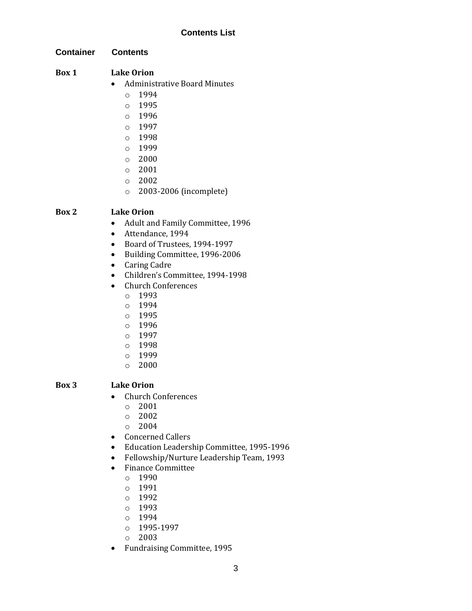# **Contents List**

**Container Contents**

# **Box 1 Lake Orion**

- Administrative Board Minutes
	- $0.1994$
	- o 1995
	- $0.1996$
	- o 1997
	- o 1998
	- o 1999
	- o 2000
	- o 2001
	- o 2002
	- o 2003-2006 (incomplete)

# **Box 2 Lake Orion**

- Adult and Family Committee, 1996
- Attendance, 1994
- Board of Trustees, 1994-1997
- Building Committee, 1996-2006
- Caring Cadre
- Children's Committee, 1994-1998
- Church Conferences
	- o 1993
	- o 1994
	- o 1995
	- o 1996
	- o 1997
	- o 1998
	- o 1999
	- o 2000

# **Box 3 Lake Orion**

- Church Conferences
	- o 2001
	- o 2002
	- o 2004
- Concerned Callers
- Education Leadership Committee, 1995-1996
- Fellowship/Nurture Leadership Team, 1993
- Finance Committee
	- o 1990
	- o 1991
	- o 1992
	- o 1993
	- o 1994
	- o 1995-1997
	- o 2003
- Fundraising Committee, 1995